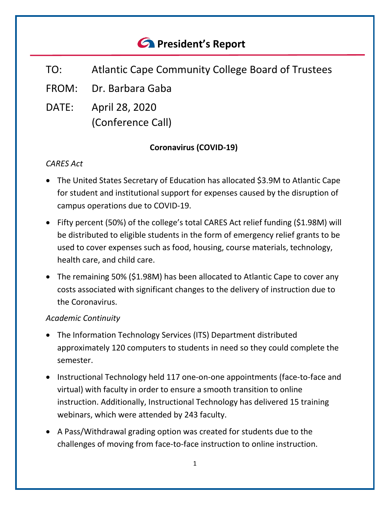# *<u>C* President's Report</u>

- TO: Atlantic Cape Community College Board of Trustees
- FROM: Dr. Barbara Gaba
- DATE: April 28, 2020 (Conference Call)

## **Coronavirus (COVID-19)**

## *CARES Act*

- The United States Secretary of Education has allocated \$3.9M to Atlantic Cape for student and institutional support for expenses caused by the disruption of campus operations due to COVID-19.
- Fifty percent (50%) of the college's total CARES Act relief funding (\$1.98M) will be distributed to eligible students in the form of emergency relief grants to be used to cover expenses such as food, housing, course materials, technology, health care, and child care.
- The remaining 50% (\$1.98M) has been allocated to Atlantic Cape to cover any costs associated with significant changes to the delivery of instruction due to the Coronavirus.

## *Academic Continuity*

- The Information Technology Services (ITS) Department distributed approximately 120 computers to students in need so they could complete the semester.
- Instructional Technology held 117 one-on-one appointments (face-to-face and virtual) with faculty in order to ensure a smooth transition to online instruction. Additionally, Instructional Technology has delivered 15 training webinars, which were attended by 243 faculty.
- A Pass/Withdrawal grading option was created for students due to the challenges of moving from face-to-face instruction to online instruction.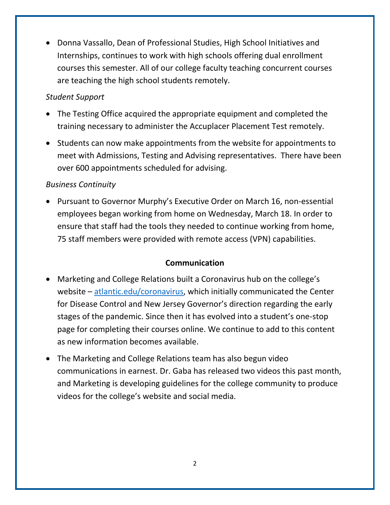• Donna Vassallo, Dean of Professional Studies, High School Initiatives and Internships, continues to work with high schools offering dual enrollment courses this semester. All of our college faculty teaching concurrent courses are teaching the high school students remotely.

### *Student Support*

- The Testing Office acquired the appropriate equipment and completed the training necessary to administer the Accuplacer Placement Test remotely.
- Students can now make appointments from the website for appointments to meet with Admissions, Testing and Advising representatives. There have been over 600 appointments scheduled for advising.

#### *Business Continuity*

• Pursuant to Governor Murphy's Executive Order on March 16, non-essential employees began working from home on Wednesday, March 18. In order to ensure that staff had the tools they needed to continue working from home, 75 staff members were provided with remote access (VPN) capabilities.

#### **Communication**

- Marketing and College Relations built a Coronavirus hub on the college's website – [atlantic.edu/coronavirus,](http://www.atlantic.edu/about/covid/index.php) which initially communicated the Center for Disease Control and New Jersey Governor's direction regarding the early stages of the pandemic. Since then it has evolved into a student's one-stop page for completing their courses online. We continue to add to this content as new information becomes available.
- The Marketing and College Relations team has also begun video communications in earnest. Dr. Gaba has released two videos this past month, and Marketing is developing guidelines for the college community to produce videos for the college's website and social media.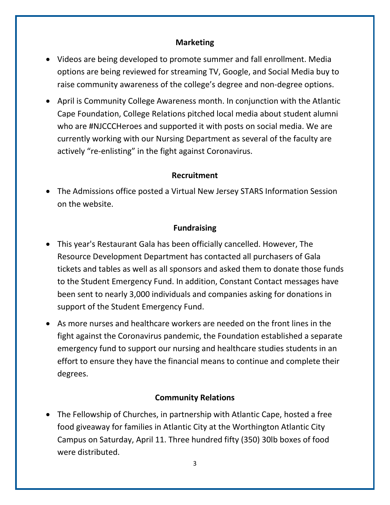#### **Marketing**

- Videos are being developed to promote summer and fall enrollment. Media options are being reviewed for streaming TV, Google, and Social Media buy to raise community awareness of the college's degree and non-degree options.
- April is Community College Awareness month. In conjunction with the Atlantic Cape Foundation, College Relations pitched local media about student alumni who are #NJCCCHeroes and supported it with posts on social media. We are currently working with our Nursing Department as several of the faculty are actively "re-enlisting" in the fight against Coronavirus.

#### **Recruitment**

• The Admissions office posted a Virtual New Jersey STARS Information Session on the website.

#### **Fundraising**

- This year's Restaurant Gala has been officially cancelled. However, The Resource Development Department has contacted all purchasers of Gala tickets and tables as well as all sponsors and asked them to donate those funds to the Student Emergency Fund. In addition, Constant Contact messages have been sent to nearly 3,000 individuals and companies asking for donations in support of the Student Emergency Fund.
- As more nurses and healthcare workers are needed on the front lines in the fight against the Coronavirus pandemic, the Foundation established a separate emergency fund to support our nursing and healthcare studies students in an effort to ensure they have the financial means to continue and complete their degrees.

#### **Community Relations**

• The Fellowship of Churches, in partnership with Atlantic Cape, hosted a free food giveaway for families in Atlantic City at the Worthington Atlantic City Campus on Saturday, April 11. Three hundred fifty (350) 30lb boxes of food were distributed.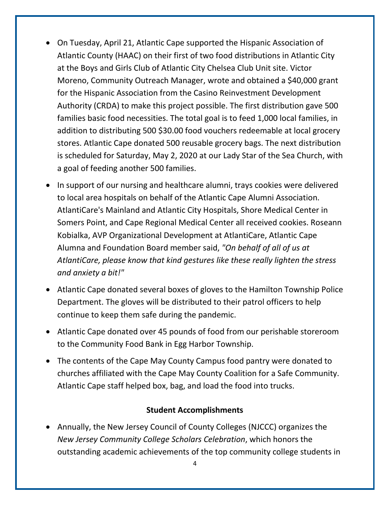- On Tuesday, April 21, Atlantic Cape supported the Hispanic Association of Atlantic County (HAAC) on their first of two food distributions in Atlantic City at the Boys and Girls Club of Atlantic City Chelsea Club Unit site. Victor Moreno, Community Outreach Manager, wrote and obtained a \$40,000 grant for the Hispanic Association from the Casino Reinvestment Development Authority (CRDA) to make this project possible. The first distribution gave 500 families basic food necessities. The total goal is to feed 1,000 local families, in addition to distributing 500 \$30.00 food vouchers redeemable at local grocery stores. Atlantic Cape donated 500 reusable grocery bags. The next distribution is scheduled for Saturday, May 2, 2020 at our Lady Star of the Sea Church, with a goal of feeding another 500 families.
- In support of our nursing and healthcare alumni, trays cookies were delivered to local area hospitals on behalf of the Atlantic Cape Alumni Association. AtlantiCare's Mainland and Atlantic City Hospitals, Shore Medical Center in Somers Point, and Cape Regional Medical Center all received cookies. Roseann Kobialka, AVP Organizational Development at AtlantiCare, Atlantic Cape Alumna and Foundation Board member said, *"On behalf of all of us at AtlantiCare, please know that kind gestures like these really lighten the stress and anxiety a bit!"*
- Atlantic Cape donated several boxes of gloves to the Hamilton Township Police Department. The gloves will be distributed to their patrol officers to help continue to keep them safe during the pandemic.
- Atlantic Cape donated over 45 pounds of food from our perishable storeroom to the Community Food Bank in Egg Harbor Township.
- The contents of the Cape May County Campus food pantry were donated to churches affiliated with the Cape May County Coalition for a Safe Community. Atlantic Cape staff helped box, bag, and load the food into trucks.

#### **Student Accomplishments**

• Annually, the New Jersey Council of County Colleges (NJCCC) organizes the *New Jersey Community College Scholars Celebration*, which honors the outstanding academic achievements of the top community college students in